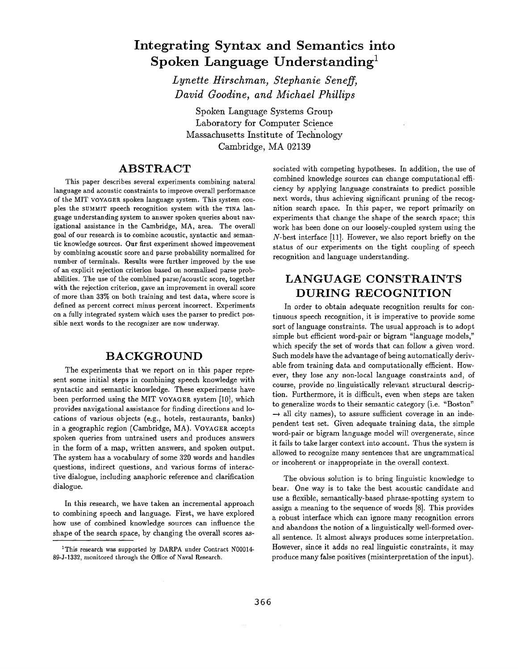# **Integrating Syntax and Semantics into Spoken Language Understanding**

*Lynette Hirschman, Stephanie Seneff, David Goodine, and Michael Phillips* 

Spoken Language Systems Group Laboratory for Computer Science Massachusetts Institute of Technology Cambridge, MA 02139

# **ABSTRACT**

This paper describes several experiments combining natural language and acoustic constraints to improve overall performance of the MIT VOYAGER spoken language system. This system couples the SUMMIT speech recognition system with the TINA language understanding system to answer spoken queries about navigational assistance in the Cambridge, MA, area. The overall goal of our research is to combine acoustic, syntactic and semantic knowledge sources. Our first experiment showed improvement by combining acoustic score and parse probability normalized for number of terminals. Results were further improved by the use of an explicit rejection criterion based on normalized parse probabilities. The use of the combined parse/acoustic score, together with the rejection criterion, gave an improvement in overall score of more than 33% on both training and test data, where score is defined as percent correct minus percent incorrect. Experiments on a fully integrated system which uses the parser to predict possible next words to the recognizer are now underway.

### **BACKGROUND**

The experiments that we report on in this paper represent some initial steps in combining speech knowledge with syntactic and semantic knowledge. These experiments have been performed using the MIT VOYAGER system [10], which provides navigational assistance for finding directions and locations of various objects (e.g., hotels, restaurants, banks) in a geographic region (Cambridge, MA). VOYAGER accepts spoken queries from untrained users and produces answers in the form of a map, written answers, and spoken output. The system has a vocabulary of some 320 words and handles questions, indirect questions, and various forms of interactive dialogue, including anaphoric reference and clarification dialogue.

In this research, we have taken an incremental approach to combining speech and language. First, we have explored how use of combined knowledge sources can influence the shape of the search space, by changing the overall scores associated with competing hypotheses. In addition, the use of combined knowledge sources can change computational efficiency by applying language constraints to predict possible next words, thus achieving significant pruning of the recognition search space. In this paper, we report primarily on experiments that change the shape of the search space; this work has been done on our loosely-coupled system using the N-best interface [11]. However, we also report briefly on the status of our experiments on the tight coupling of speech recognition and language understanding.

# **LANGUAGE CONSTRAINTS DURING RECOGNITION**

In order to obtain adequate recognition results for continuous speech recognition, it is imperative to provide some sort of language constraints. The usual approach is to adopt simple but efficient word-pair or bigram "language models," which specify the set of words that can follow a given word. Such models have the advantage of being automatically derivable from training data and computationally efficient. However, they lose any non-local language constraints and, of course, provide no linguistically relevant structural description. Furthermore, it is difficult, even when steps are taken to generalize words to their semantic category (i.e. "Boston"  $\rightarrow$  all city names), to assure sufficient coverage in an independent test set. Given adequate training data, the simple word-pair or bigram language model will overgenerate, since it fails to take larger context into account. Thus the system is allowed to recognize many sentences that are ungrammatical or incoherent or inappropriate in the overall context.

The obvious solution is to bring linguistic knowledge to bear. One way is to take the best acoustic candidate and use a flexible, semantically-based phrase-spotting system to assign a meaning to the sequence of words [8]. This provides a robust interface which can ignore many recognition errors and abandons the notion of a linguistically well-formed overall sentence. It almost always produces some interpretation. However, since it adds no real linguistic constraints, it may produce many false positives (misinterpretation of the input).

<sup>&</sup>lt;sup>1</sup>This research was supported by DARPA under Contract N00014-89-J-1332, monitored through the Office of Naval Research.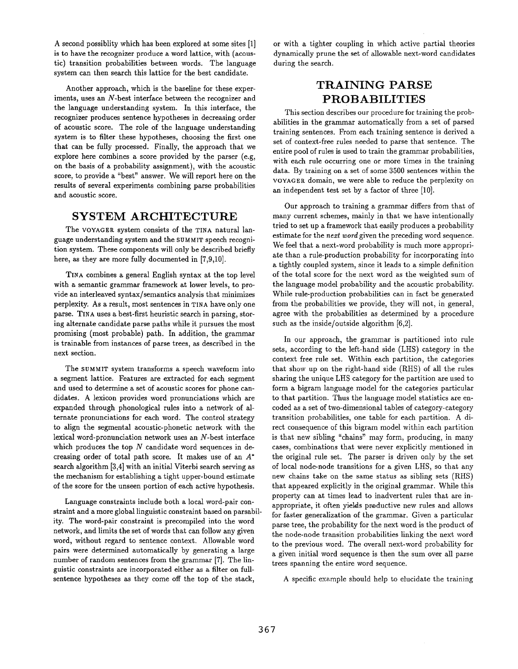A second possiblity which has been explored at some sites [1] is to have the recognizer produce a word lattice, with (acoustic) transition probabilities between words. The language system can then search this lattice for the best candidate.

Another approach, which is the baseline for these experiments, uses an N-best interface between the recognizer and the language understanding system. In this interface, the recognizer produces sentence hypotheses in decreasing order of acoustic score. The role of the language understanding system is to filter these hypotheses, choosing the first one that can be fully processed. Finally, the approach that we explore here combines a score provided by the parser (e.g, on the basis of a probability assignment), with the acoustic score, to provide a "best" answer. We will report here on the results of several experiments combining parse probabilities and acoustic score.

### **SYSTEM ARCHITECTURE**

The VOYAGER system consists of the TINA natural language understanding system and the SUMMIT speech recognition system. These components will only be described briefly here, as they are more fully documented in [7,9,10].

TINA combines a general English syntax at the top level with a semantic grammar framework at lower levels, to provide an interleaved syntax/semantics analysis that minimizes perplexity. As a result, most sentences in TINA have only one parse. TINA uses a best-first heuristic search in parsing, storing alternate candidate parse paths while it pursues the most promising (most probable) path. In addition, the grammar is trainable from instances of parse trees, as described in the next section.

The SUMMIT system transforms a speech waveform into a segment lattice. Features are extracted for each segment and used to determine a set of acoustic scores for phone candidates. A lexicon provides word pronunciations which are expanded through phonological rules into a network of alternate pronunciations for each word. The control strategy to align the segmental acoustic-phonetic network with the lexical word-pronunciation network uses an N-best interface which produces the top  $N$  candidate word sequences in decreasing order of total path score. It makes use of an  $A^*$ search algorithm [3,4] with an initial Viterbi search serving as the mechanism for establishing a tight upper-bound estimate of the score for the unseen portion of each active hypothesis.

Language constraints include both a local word-pair constraint and a more global linguistic constraint based on parsability. The word-pair constraint is precompiled into the word network, and limits the set of words that can follow any given word, without regard to sentence context. Allowable word pairs were determined automatically by generating a large number of random sentences from the grammar [7]. The linguistic constraints are incorporated either as a filter on fullsentence hypotheses as they come off the top of the stack,

or with a tighter coupling in which active partial theories dynamically prune the set of allowable next-word candidates during the search.

# **TRAINING PARSE PROBABILITIES**

This section describes our procedure for training the probabilities in the grammar automatically from a set of parsed training sentences. From each training sentence is derived a set of context-free rules needed to parse that sentence. The entire pool of rules is used to train the grammar probabilities, with each rule occurring one or more times in the training data. By training on a set of some 3500 sentences within the VOYAGER domain, we were able to reduce the perplexity on an independent test set by a factor of three [10].

Our approach to training a grammar differs from that of many current schemes, mainly in that we have intentionally tried to set up a framework that easily produces a probability estimate for the *next word* given the preceding word sequence. We feel that a next-word probability is much more appropriate than a rule-production probability for incorporating into a tightly coupled system, since it leads to a simple definition of the total score for the next word as the weighted sum of the language model probability and the acoustic probability. While rule-production probabilities can in fact be generated from the probabilities we provide, they will not, in general, agree with the probabilities as determined by a procedure such as the inside/outside algorithm [6,2].

In our approach, the grammar is partitioned into rule sets, according to the left-hand side (LHS) category in the context free rule set. Within each partition, the categories that show up on the right-hand side (RHS) of all the rules sharing the unique LHS category for the partition are used to form a bigram language model for the categories particular to that partition. Thus the language model statistics are encoded as a set of two-dimensional tables of category-category transition probabilities, one table for each partition. A direct consequence of this bigram model within each partition is that new sibling "chains" may form, producing, in many cases, combinations that were never explicitly mentioned in the original rule set. The parser is driven only by the set of local node-node transitions for a given LHS, so that any new chains take on the same status as sibling sets (RHS) that appeared explicitly in the original grammar. While this property can at times lead to inadvertent rules that are inappropriate, it often yiekls productive new rules and allows for faster generalization of the grammar. Given a particular parse tree, the probability for the next word is the product of the node-node transition probabilities linking the next word to the previous word. The overall next-word probability for a given initial word sequence is then the sum over all parse trees spanning the entire word sequence.

A specific example should help to elucidate the training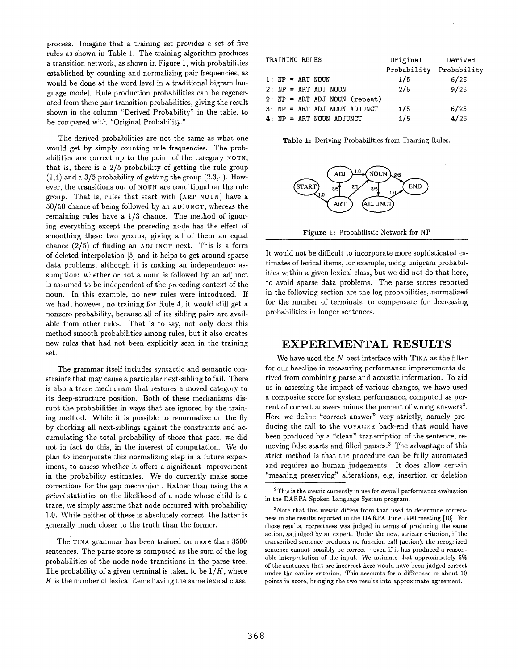process. Imagine that a training set provides a set of five rules as shown in Table 1. The training algorithm produces a transition network, as shown in Figure 1, with probabilities established by counting and normalizing pair frequencies, as would be done at the word level in a traditional bigram language model. Rule production probabilities can be regenerated from these pair transition probabilities, giving the result shown in the column "Derived Probability" in the table, to be compared with "Original Probability."

The derived probabilities are not the same as what one would get by simply counting rule frequencies. The probabilities are correct up to the point of the category NOUN; that is, there is a  $2/5$  probability of getting the rule group  $(1,4)$  and a  $3/5$  probability of getting the group  $(2,3,4)$ . However, the transitions out of NOUN are conditional on the rule group. That is, rules that start with (ART NOUN) have a 50/50 chance of being followed by an ADJUNCT, whereas the remaining rules have a 1/3 chance. The method of ignoring everything except the preceding node has the effect of smoothing these two groups, giving all of them an equal chance (2/5) of finding an ADJUNCT next. This is a form of deleted-interpolation [5] and it helps to get around sparse data problems, although it is making an independence assumption: whether or not a noun is followed by an adjunct is assumed to be independent of the preceding context of the noun. In this example, no new rules were introduced. If we had, however, no training for Rule 4, it would still get a nonzero probability, because all of its sibling pairs are available from other rules. That is to say, not only does this method smooth probabilities among rules, but it also creates new rules that had not been explicitly seen in the training set.

The grammar itself includes syntactic and semantic constraints that may cause a particular next-sibling to fail. There is also a trace mechanism that restores a moved category to its deep-structure position. Both of these mechanisms disrupt the probabilities in ways that are ignored by the training method. While it is possible to renormalize on the fly by checking all next-siblings against the constraints and accumulating the total probability of those that pass, we did not in fact do this, in the interest of computation. We do plan to incorporate this normalizing step in a future experiment, to assess whether it offers a significant improvement in the probability estimates. We do currently make some corrections for the gap mechanism. Rather than using the a *priori* statistics on the likelihood of a node whose child is a trace, we simply assume that node occurred with probability 1.0. While neither of these is absolutely correct, the latter is generally much closer to the truth than the former.

The TINA grammar has been trained on more than 3500 sentences. The parse score is computed as the sum of the log probabilities of the node-node transitions in the parse tree. The probability of a given terminal is taken to be *1/K,* where  $K$  is the number of lexical items having the same lexical class.

| TRAINING RULES |  |  |  |                    |                            | Original                        | Derived     |             |
|----------------|--|--|--|--------------------|----------------------------|---------------------------------|-------------|-------------|
|                |  |  |  |                    |                            |                                 | Probability | Probability |
|                |  |  |  | 1: $NP = ART NOUN$ |                            |                                 | 1/5         | 6/25        |
|                |  |  |  |                    | $2: NP = ART ADJ NOUN$     |                                 | 2/5         | 9/25        |
|                |  |  |  |                    |                            | $2: NP = ART ADJ NOUN (repeat)$ |             |             |
|                |  |  |  |                    |                            | 3: NP = ART ADJ NOUN ADJUNCT    | 1/5         | 6/25        |
|                |  |  |  |                    | $4: NP = ART NOUN ADJUNCT$ |                                 | 1/5         | 4/25        |

Table 1: Deriving Probabilities from Training Rules.



Figure 1: Probabilistic Network for NP

It would not be difficult to incorporate more sophisticated estimates of lexical items, for example, using unigram probabilities within a given lexical class, but we did not do that here, to avoid sparse data problems. The parse scores reported in the following section are the log probabilities, normalized for the number of terminals, to compensate for decreasing probabilities in longer sentences.

### **EXPERIMENTAL RESULTS**

We have used the N-best interface with TINA as the filter for our baseline in measuring performance improvements derived from combining parse and acoustic information. To aid us in assessing the impact of various changes, we have used a composite score for system performance, computed as percent of correct answers minus the percent of wrong answers<sup>2</sup>. Here we define "correct answer" very strictly, namely producing tbe call to the VOYAGER back-end that would have been produced by a "clean" transcription of the sentence, removing false starts and filled pauses? The advantage of this strict method is that the procedure can be fully automated and requires no human judgements. It does allow certain "meaning preserving" alterations, e.g, insertion or deletion

<sup>2</sup>This is the metric currently in use for overall performance evaluation in the DARPA Spoken Language System program.

<sup>3</sup>Note that this metric differs from that used to determine correcthess in the results reported in the DARPA June 1990 meeting [10]. For those results, correctness was judged in terms of producing the same action, as judged by an expert. Under the new, stricter criterion, if the transcribed sentence produces no function call (action), the recognized sentence cannot possibly be correct  $-$  even if it has produced a reasonable interpretation of the input. We estimate that approximately 5% of the sentences that are incorrect here would have been judged correct under the earlier criterion. This accounts for a difference in about 19 points in score, bringing the two results into approximate agreement.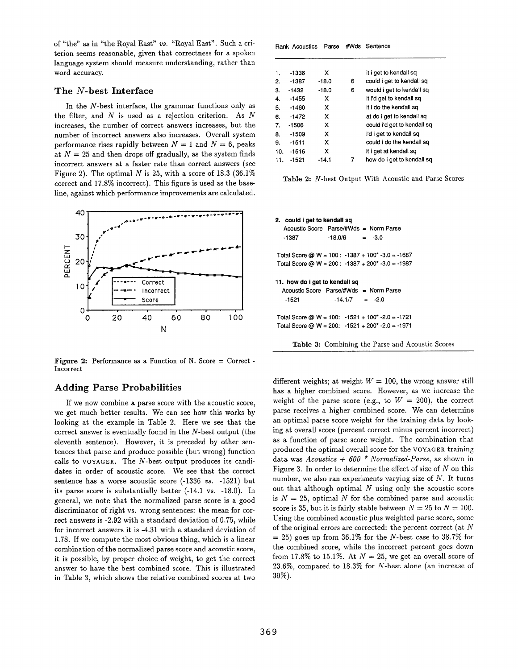of "the" as in "the Royal East" *vs.* "Royal East". Such a criterion seems reasonable, given that correctness for a spoken language system should measure understanding, rather than word accuracy.

#### **The N-best Interface**

In the N-best interface, the grammar functions only as the filter, and  $N$  is used as a rejection criterion. As  $N$ increases, the number of correct answers increases, but the number of incorrect answers also increases. Overall system performance rises rapidly between  $N = 1$  and  $N = 6$ , peaks at  $N = 25$  and then drops off gradually, as the system finds incorrect answers at a faster rate than correct answers (see Figure 2). The optimal N is 25, with a score of 18.3 (36.1%) correct and 17.8% incorrect). This figure is used as the baseline, against which performance improvements are calculated.



**Figure 2:** Performance as a Function of N. Score = Correct -Incorrect

#### **Adding** Parse Probabilities

If we now combine a parse score with the acoustic score, we get much better results. We can see how this works by looking at the example in Table 2. Here we see that the correct answer is eventually found in the N-best output (the eleventh sentence). However, it is preceded by other sentences that parse and produce possible (but wrong) function calls to VOYAGER. The N-best output produces its candidates in order of acoustic score. We see that the correct sentence has a worse acoustic score (-1336 *vs.* -1521) but its parse score is substantially better (-14.1 vs. -18.0). In general, we note that the normalized parse score is a good discriminator of right vs. wrong sentences: the mean for correct answers is -2.92 with a standard deviation of 0.75, while for incorrect answers it is -4.31 with a standard deviation of 1.78. If we compute the most obvious thing, which is a linear combination of the normalized parse score and acoustic score, it is possible, by proper choice of weight, to get the correct answer to have the best combined score. This is illustrated in Table 3, which shows the relative combined scores at two

|     | Rank Acoustics | Parse   |   | #Wds Sentence               |
|-----|----------------|---------|---|-----------------------------|
|     |                |         |   |                             |
| 1.  | -1336          | х       |   | it i get to kendall sq      |
| 2.  | $-1387$        | $-18.0$ | 6 | could i get to kendall sq   |
| З.  | $-1432$        | $-18.0$ | 6 | would i get to kendall sq   |
| 4.  | $-1455$        | х       |   | it i'd get to kendall sq    |
| 5.  | $-1460$        | x       |   | it i do the kendall sq      |
| 6.  | $-1472$        | x       |   | at do i get to kendall sq   |
| 7.  | $-1506$        | х       |   | could i'd get to kendall so |
| 8.  | $-1509$        | x       |   | i'd i get to kendall sq     |
| 9.  | $-1511$        | x       |   | could i do the kendall sq   |
| 10. | $-1516$        | x       |   | it i get at kendall sq      |
| 11. | $-1521$        | -14.1   | 7 | how do i get to kendall sq  |

Table 2: N-best Output With Acoustic and Parse Scores

**2. could i get to kendall sq Acoustic Score Parse/#Wds = Norm Parse**   $-1387$   $-18.0/6$   $=$   $-3.0$ **Total Score** @ W = 100 : -1387 + 100" -3.0 = -1687 **Total Score @ W = 200 : -1387 + 200\* -3.0 =** -1987 11. **how do i get to kendall sq Acoustic Score** Parse/#Wds = Norm Parse  $-1521$   $-14.1/7$   $=$   $-2.0$ **Total Score** @ W = 100:-1521 + 100" -2.0 = -1721 **Total Score** @ W = 200:-1521 + 200\* -2.0 = -1971

Table 3: Combining the Parse and Acoustic Scores

different weights; at weight  $W = 100$ , the wrong answer still has a higher combined score. However, as we increase the weight of the parse score (e.g., to  $W = 200$ ), the correct parse receives a higher combined score. We can determine an optimal parse score weight for the training data by looking at overall score (percent correct minus percent incorrect) as a function of parse score weight. The combination that produced the optimal overall score for the VOYAGER training data was *Acoustics + 600 \* Normalized-Parse,* as shown in Figure 3. In order to determine the effect of size of  $N$  on this number, we also ran experiments varying size of  $N$ . It turns out that although optimal  $N$  using only the acoustic score is  $N = 25$ , optimal N for the combined parse and acoustic score is 35, but it is fairly stable between  $N = 25$  to  $N = 100$ . Using the combined acoustic plus weighted parse score, some of the original errors are corrected: the percent correct (at  $N$  $= 25$ ) goes up from 36.1% for the N-best case to 38.7% for the combined score, while the incorrect percent goes down from 17.8% to 15.1%. At  $N = 25$ , we get an overall score of 23.6%, compared to 18.3% for N-best alone (an increase of 30%).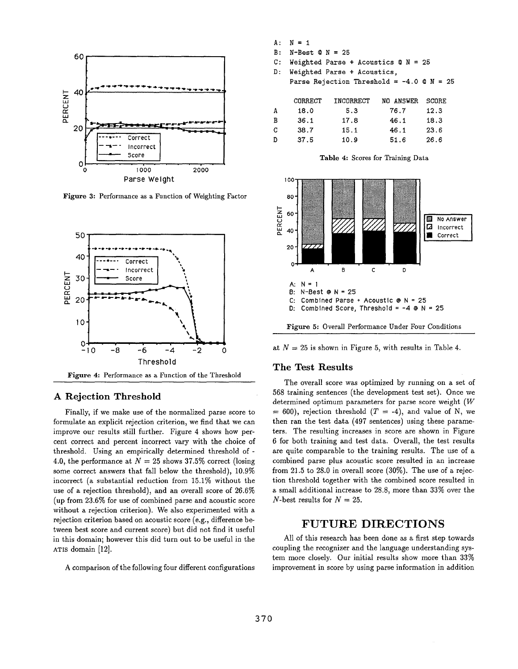

Figure 3: Performance as a Function of Weighting Factor



#### **A Rejection** Threshold

Finally, if we make use of the normalized parse score to formulate an explicit rejection criterion, we find that we can improve our results still further. Figure 4 shows how percent correct and percent incorrect vary with the choice of threshold. Using an empirically determined threshold of-4.0, the performance at  $N = 25$  shows 37.5% correct (losing some correct answers that fall below the threshold), 10.9% incorrect (a substantial reduction from 15.1% without the use of a rejection threshold), and an overall score of 26.6% (up from 23.6% for use of combined parse and acoustic score without a rejection criterion). We also experimented with a rejection criterion based on acoustic score (e.g., difference between best score and current score) but did not find it useful in this domain; however this did turn out to be useful in the ATIS domain [12].

A comparison of the following four different configurations

| А: | $N = 1$                                     |           |           |       |  |  |  |  |  |  |
|----|---------------------------------------------|-----------|-----------|-------|--|--|--|--|--|--|
| B: | $N - Best$ $\alpha$ $N = 25$                |           |           |       |  |  |  |  |  |  |
| C: | Weighted Parse + Acoustics $Q N = 25$       |           |           |       |  |  |  |  |  |  |
| D: | Weighted Parse + Acoustics,                 |           |           |       |  |  |  |  |  |  |
|    | Parse Rejection Threshold = $-4.0$ @ N = 25 |           |           |       |  |  |  |  |  |  |
|    |                                             |           |           |       |  |  |  |  |  |  |
|    | CORRECT                                     | INCORRECT | NO ANSWER | SCORE |  |  |  |  |  |  |
| A  | 18.0                                        | 5.3       | 76.7      | 12.3  |  |  |  |  |  |  |
| в  | 36.1                                        | 17.8      | 46.1      | 18.3  |  |  |  |  |  |  |
| C  | 38.7                                        | 15.1      | 46.1      | 23.6  |  |  |  |  |  |  |
| D  | 37.5                                        | 10.9      | 51.6      | 26.6  |  |  |  |  |  |  |





at  $N = 25$  is shown in Figure 5, with results in Table 4.

#### **The Test Results**

The overall score was optimized by running on a set of 568 training sentences (the development test set). Once we determined optimum parameters for parse score weight  $(W)$  $= 600$ , rejection threshold  $(T = -4)$ , and value of N, we then ran the test data (497 sentences) using these parameters. The resulting increases in score are shown in Figure 6 for both training and test data. Overall, the test results are quite comparable to the training results. The use of a combined parse plus acoustic score resulted in an increase from 21.5 to 28.0 in overall score (30%). The use of a rejection threshold together with the combined score resulted in a small additional increase to 28.8, more than 33% over the N-best results for  $N = 25$ .

## **FUTURE DIRECTIONS**

All of this research has been done as a first step towards coupling the recognizer and the language understanding system more closely. Our initial results show more than 33% improvement in score by using parse information in addition